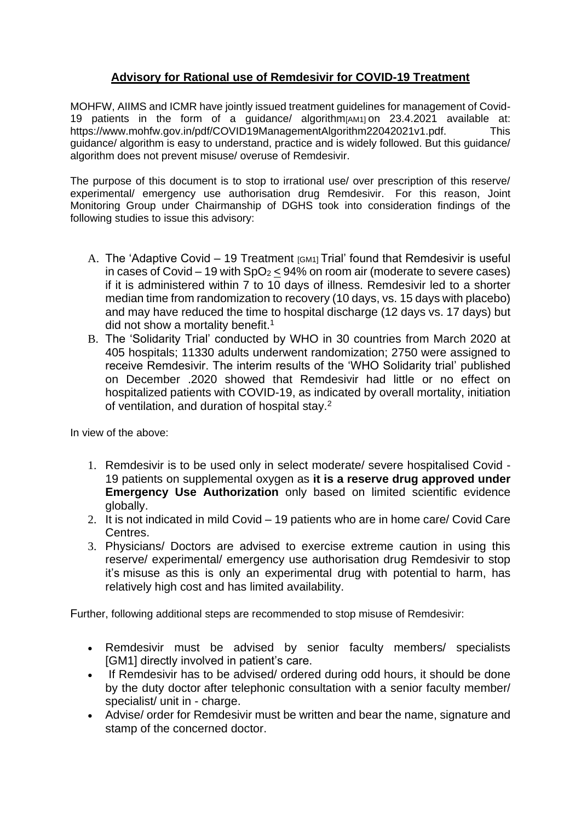## **Advisory for Rational use of Remdesivir for COVID-19 Treatment**

MOHFW, AIIMS and ICMR have jointly issued treatment guidelines for management of Covid-19 patients in the form of a guidance/ algorithm[AM1] on 23.4.2021 available at: https://www.mohfw.gov.in/pdf/COVID19ManagementAlgorithm22042021v1.pdf. This guidance/ algorithm is easy to understand, practice and is widely followed. But this guidance/ algorithm does not prevent misuse/ overuse of Remdesivir.

The purpose of this document is to stop to irrational use/ over prescription of this reserve/ experimental/ emergency use authorisation drug Remdesivir. For this reason, Joint Monitoring Group under Chairmanship of DGHS took into consideration findings of the following studies to issue this advisory:

- A. The 'Adaptive Covid 19 Treatment  $[GM1]$  Trial' found that Remdesivir is useful in cases of Covid – 19 with  $SpO<sub>2</sub>$  < 94% on room air (moderate to severe cases) if it is administered within 7 to 10 days of illness. Remdesivir led to a shorter median time from randomization to recovery (10 days, vs. 15 days with placebo) and may have reduced the time to hospital discharge (12 days vs. 17 days) but did not show a mortality benefit.<sup>1</sup>
- B. The 'Solidarity Trial' conducted by WHO in 30 countries from March 2020 at 405 hospitals; 11330 adults underwent randomization; 2750 were assigned to receive Remdesivir. The interim results of the 'WHO Solidarity trial' published on December .2020 showed that Remdesivir had little or no effect on hospitalized patients with COVID-19, as indicated by overall mortality, initiation of ventilation, and duration of hospital stay.<sup>2</sup>

In view of the above:

- 1. Remdesivir is to be used only in select moderate/ severe hospitalised Covid 19 patients on supplemental oxygen as **it is a reserve drug approved under Emergency Use Authorization** only based on limited scientific evidence globally.
- 2. It is not indicated in mild Covid 19 patients who are in home care/ Covid Care Centres.
- 3. Physicians/ Doctors are advised to exercise extreme caution in using this reserve/ experimental/ emergency use authorisation drug Remdesivir to stop it's misuse as this is only an experimental drug with potential to harm, has relatively high cost and has limited availability.

Further, following additional steps are recommended to stop misuse of Remdesivir:

- Remdesivir must be advised by senior faculty members/ specialists [GM1] directly involved in patient's care.
- If Remdesivir has to be advised/ ordered during odd hours, it should be done by the duty doctor after telephonic consultation with a senior faculty member/ specialist/ unit in - charge.
- Advise/ order for Remdesivir must be written and bear the name, signature and stamp of the concerned doctor.